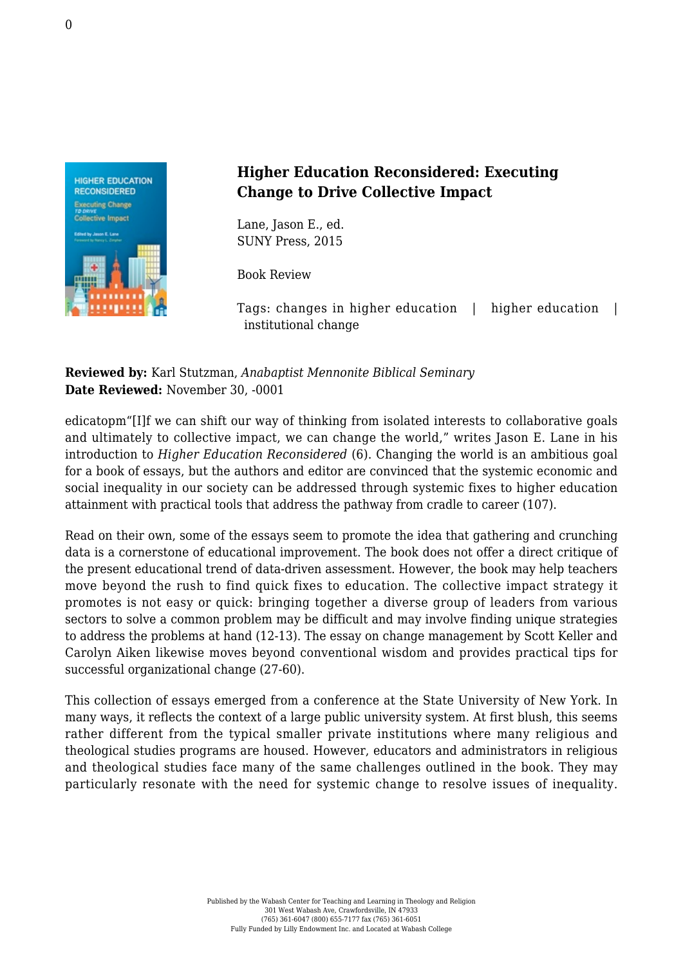

## **Higher Education Reconsidered: Executing Change to Drive Collective Impact**

Lane, Jason E., ed. [SUNY Press, 2015](http://www.sunypress.edu/p-6197-higher-education-reconsidered.aspx)

Book Review

Tags: changes in higher education | higher education | institutional change

## **Reviewed by:** Karl Stutzman, *Anabaptist Mennonite Biblical Seminary* **Date Reviewed:** November 30, -0001

edicatopm"[I]f we can shift our way of thinking from isolated interests to collaborative goals and ultimately to collective impact, we can change the world," writes Jason E. Lane in his introduction to *Higher Education Reconsidered* (6). Changing the world is an ambitious goal for a book of essays, but the authors and editor are convinced that the systemic economic and social inequality in our society can be addressed through systemic fixes to higher education attainment with practical tools that address the pathway from cradle to career (107).

Read on their own, some of the essays seem to promote the idea that gathering and crunching data is a cornerstone of educational improvement. The book does not offer a direct critique of the present educational trend of data-driven assessment. However, the book may help teachers move beyond the rush to find quick fixes to education. The collective impact strategy it promotes is not easy or quick: bringing together a diverse group of leaders from various sectors to solve a common problem may be difficult and may involve finding unique strategies to address the problems at hand (12-13). The essay on change management by Scott Keller and Carolyn Aiken likewise moves beyond conventional wisdom and provides practical tips for successful organizational change (27-60).

This collection of essays emerged from a conference at the State University of New York. In many ways, it reflects the context of a large public university system. At first blush, this seems rather different from the typical smaller private institutions where many religious and theological studies programs are housed. However, educators and administrators in religious and theological studies face many of the same challenges outlined in the book. They may particularly resonate with the need for systemic change to resolve issues of inequality.